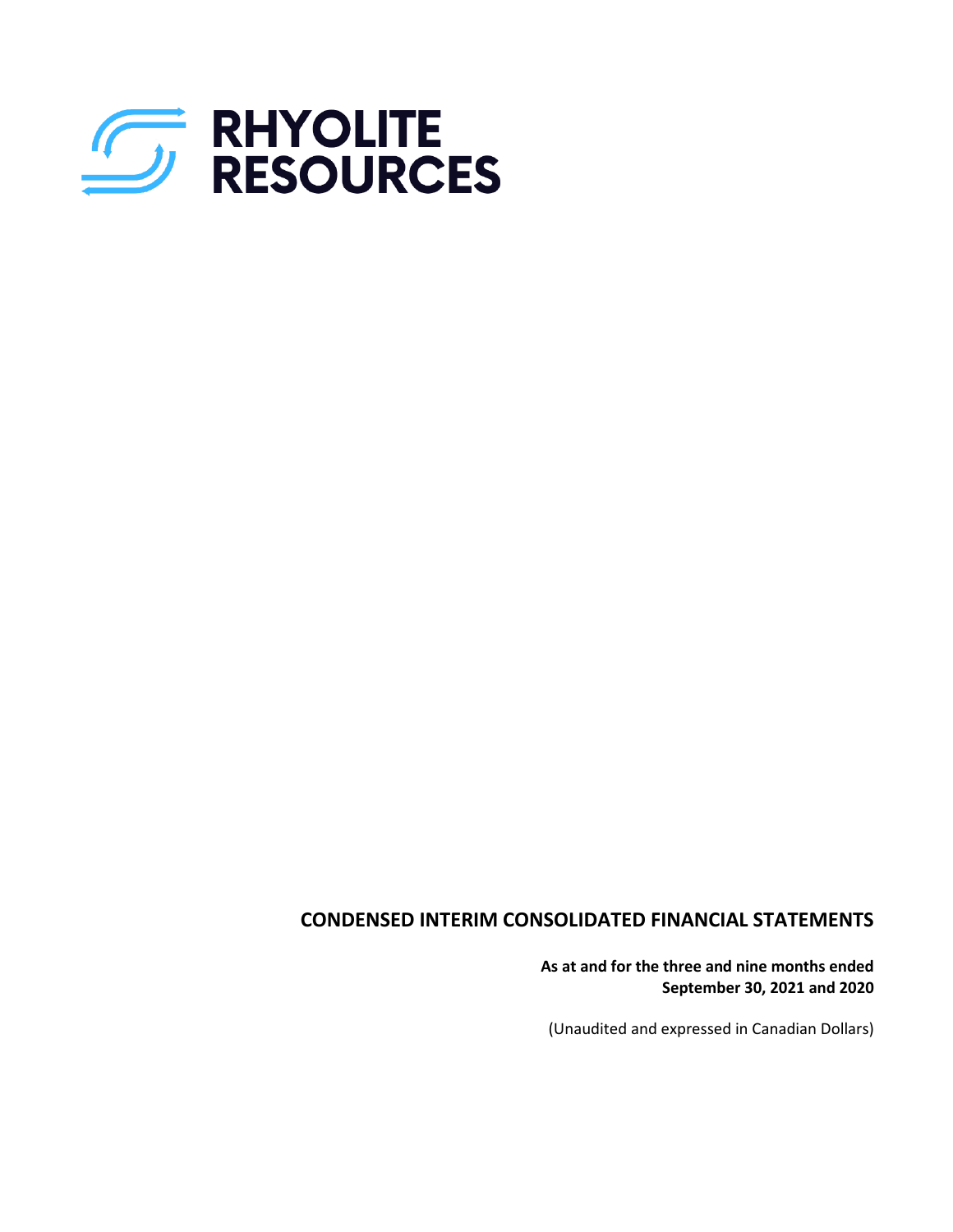

# **CONDENSED INTERIM CONSOLIDATED FINANCIAL STATEMENTS**

**As at and for the three and nine months ended September 30, 2021 and 2020**

(Unaudited and expressed in Canadian Dollars)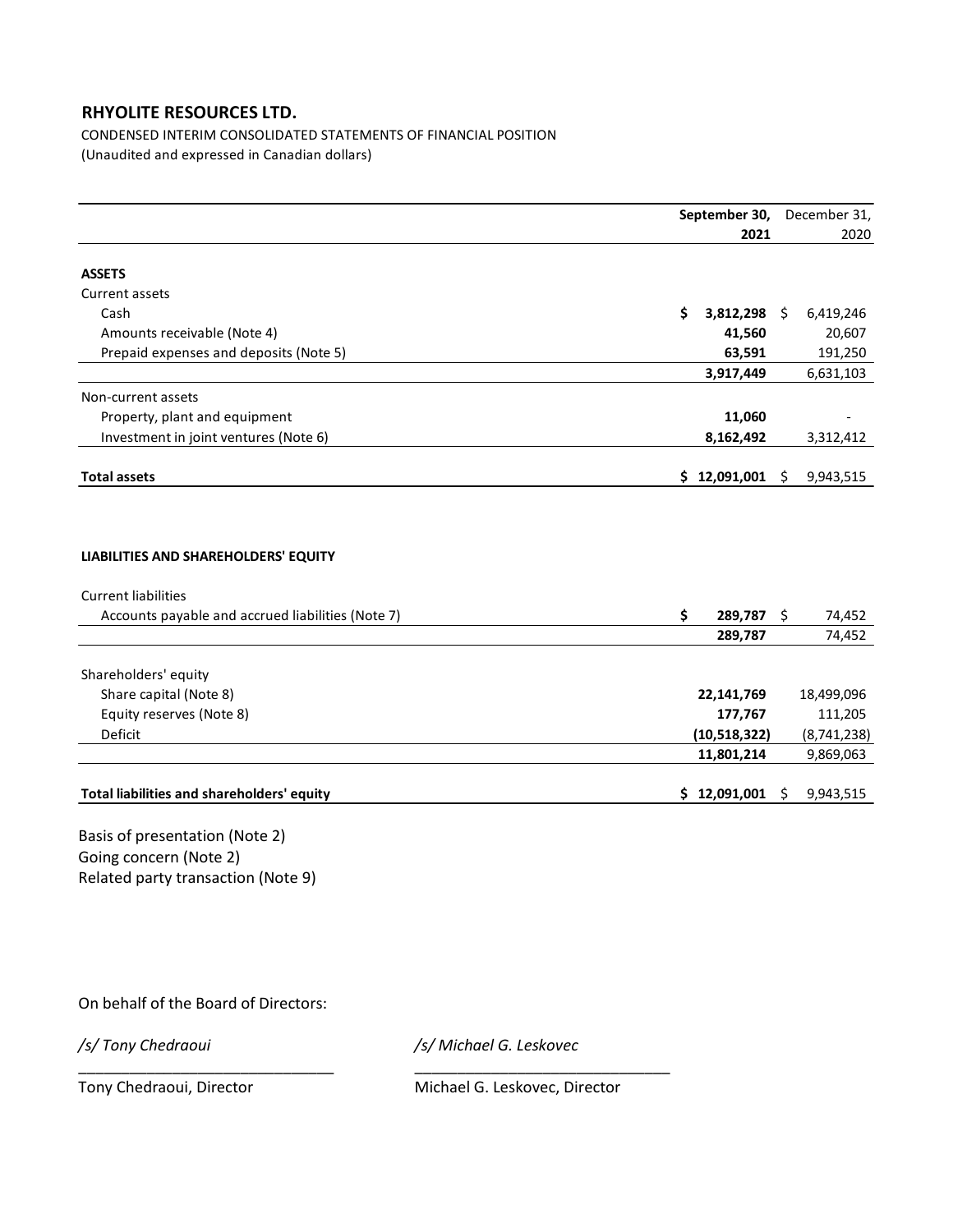CONDENSED INTERIM CONSOLIDATED STATEMENTS OF FINANCIAL POSITION (Unaudited and expressed in Canadian dollars)

|                                                                                                                         | September 30,            |      | December 31,     |  |
|-------------------------------------------------------------------------------------------------------------------------|--------------------------|------|------------------|--|
|                                                                                                                         | 2021                     |      | 2020             |  |
| <b>ASSETS</b>                                                                                                           |                          |      |                  |  |
| Current assets                                                                                                          |                          |      |                  |  |
| Cash                                                                                                                    | Ś.<br>3,812,298 \$       |      | 6,419,246        |  |
| Amounts receivable (Note 4)                                                                                             | 41,560                   |      | 20,607           |  |
| Prepaid expenses and deposits (Note 5)                                                                                  | 63,591                   |      | 191,250          |  |
|                                                                                                                         | 3,917,449                |      | 6,631,103        |  |
| Non-current assets                                                                                                      |                          |      |                  |  |
| Property, plant and equipment                                                                                           | 11,060                   |      |                  |  |
| Investment in joint ventures (Note 6)                                                                                   | 8,162,492                |      | 3,312,412        |  |
|                                                                                                                         |                          |      |                  |  |
| <b>Total assets</b>                                                                                                     | \$12,091,001             | \$   | 9,943,515        |  |
| LIABILITIES AND SHAREHOLDERS' EQUITY<br><b>Current liabilities</b><br>Accounts payable and accrued liabilities (Note 7) | \$<br>289,787<br>289,787 | - \$ | 74,452<br>74,452 |  |
| Shareholders' equity                                                                                                    |                          |      |                  |  |
| Share capital (Note 8)                                                                                                  | 22,141,769               |      | 18,499,096       |  |
| Equity reserves (Note 8)                                                                                                | 177,767                  |      | 111,205          |  |
| Deficit                                                                                                                 | (10, 518, 322)           |      | (8,741,238)      |  |
|                                                                                                                         | 11,801,214               |      | 9,869,063        |  |
| Total liabilities and shareholders' equity                                                                              | \$12,091,001             | \$   | 9,943,515        |  |
| Basis of presentation (Note 2)                                                                                          |                          |      |                  |  |

Going concern (Note 2) Related party transaction (Note 9)

On behalf of the Board of Directors:

*/s/ Tony Chedraoui /s/ Michael G. Leskovec*

\_\_\_\_\_\_\_\_\_\_\_\_\_\_\_\_\_\_\_\_\_\_\_\_\_\_\_\_\_\_ \_\_\_\_\_\_\_\_\_\_\_\_\_\_\_\_\_\_\_\_\_\_\_\_\_\_\_\_\_\_

Tony Chedraoui, Director Michael G. Leskovec, Director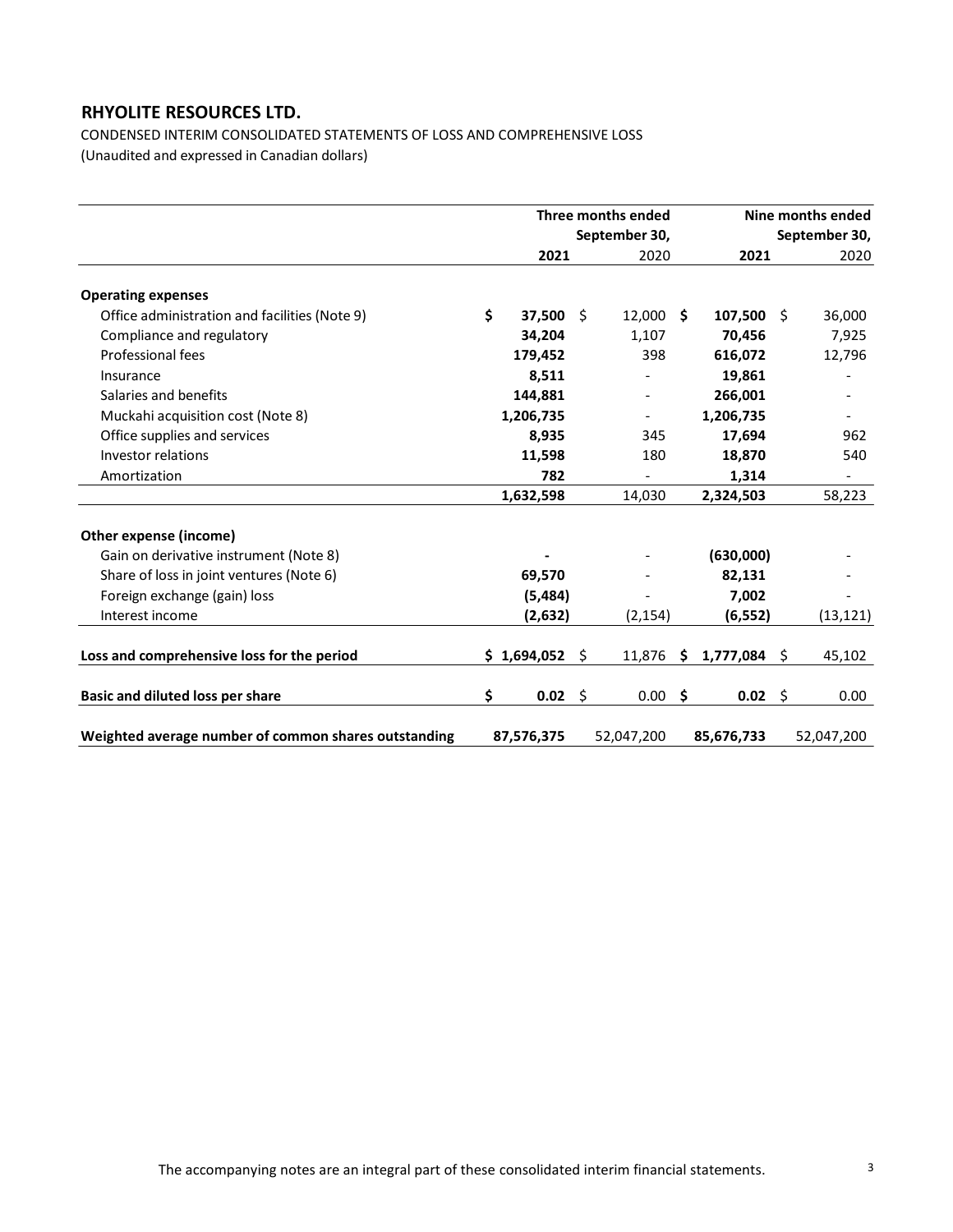CONDENSED INTERIM CONSOLIDATED STATEMENTS OF LOSS AND COMPREHENSIVE LOSS (Unaudited and expressed in Canadian dollars)

|                                                      | Three months ended   |  |                          |                 | Nine months ended |    |                          |  |
|------------------------------------------------------|----------------------|--|--------------------------|-----------------|-------------------|----|--------------------------|--|
|                                                      |                      |  | September 30,            |                 |                   |    | September 30,            |  |
|                                                      | 2021                 |  | 2020                     |                 | 2021              |    | 2020                     |  |
| <b>Operating expenses</b>                            |                      |  |                          |                 |                   |    |                          |  |
| Office administration and facilities (Note 9)        | \$<br>$37.500 \pm 5$ |  | 12.000S                  |                 | $107,500$ \$      |    | 36,000                   |  |
| Compliance and regulatory                            | 34,204               |  | 1,107                    |                 | 70,456            |    | 7,925                    |  |
| Professional fees                                    | 179,452              |  | 398                      |                 | 616,072           |    | 12,796                   |  |
| Insurance                                            | 8,511                |  |                          |                 | 19,861            |    |                          |  |
| Salaries and benefits                                | 144,881              |  | $\overline{\phantom{0}}$ |                 | 266,001           |    |                          |  |
| Muckahi acquisition cost (Note 8)                    | 1,206,735            |  | $\overline{\phantom{a}}$ |                 | 1,206,735         |    | $\overline{\phantom{a}}$ |  |
| Office supplies and services                         | 8,935                |  | 345                      |                 | 17,694            |    | 962                      |  |
| Investor relations                                   | 11,598               |  | 180                      |                 | 18,870            |    | 540                      |  |
| Amortization                                         | 782                  |  |                          |                 | 1,314             |    |                          |  |
|                                                      | 1,632,598            |  | 14,030                   |                 | 2,324,503         |    | 58,223                   |  |
| Other expense (income)                               |                      |  |                          |                 |                   |    |                          |  |
| Gain on derivative instrument (Note 8)               |                      |  |                          |                 | (630,000)         |    |                          |  |
| Share of loss in joint ventures (Note 6)             | 69,570               |  |                          |                 | 82,131            |    |                          |  |
| Foreign exchange (gain) loss                         | (5, 484)             |  |                          |                 | 7,002             |    |                          |  |
| Interest income                                      | (2,632)              |  | (2, 154)                 |                 | (6, 552)          |    | (13, 121)                |  |
| Loss and comprehensive loss for the period           | \$1,694,052\$        |  | 11,876                   | $\ddot{\bm{s}}$ | 1,777,084         | \$ | 45,102                   |  |
| <b>Basic and diluted loss per share</b>              | \$<br>$0.02 \leq$    |  | $0.00$ \$                |                 | $0.02 \div$       |    | 0.00                     |  |
| Weighted average number of common shares outstanding | 87,576,375           |  | 52,047,200               |                 | 85,676,733        |    | 52,047,200               |  |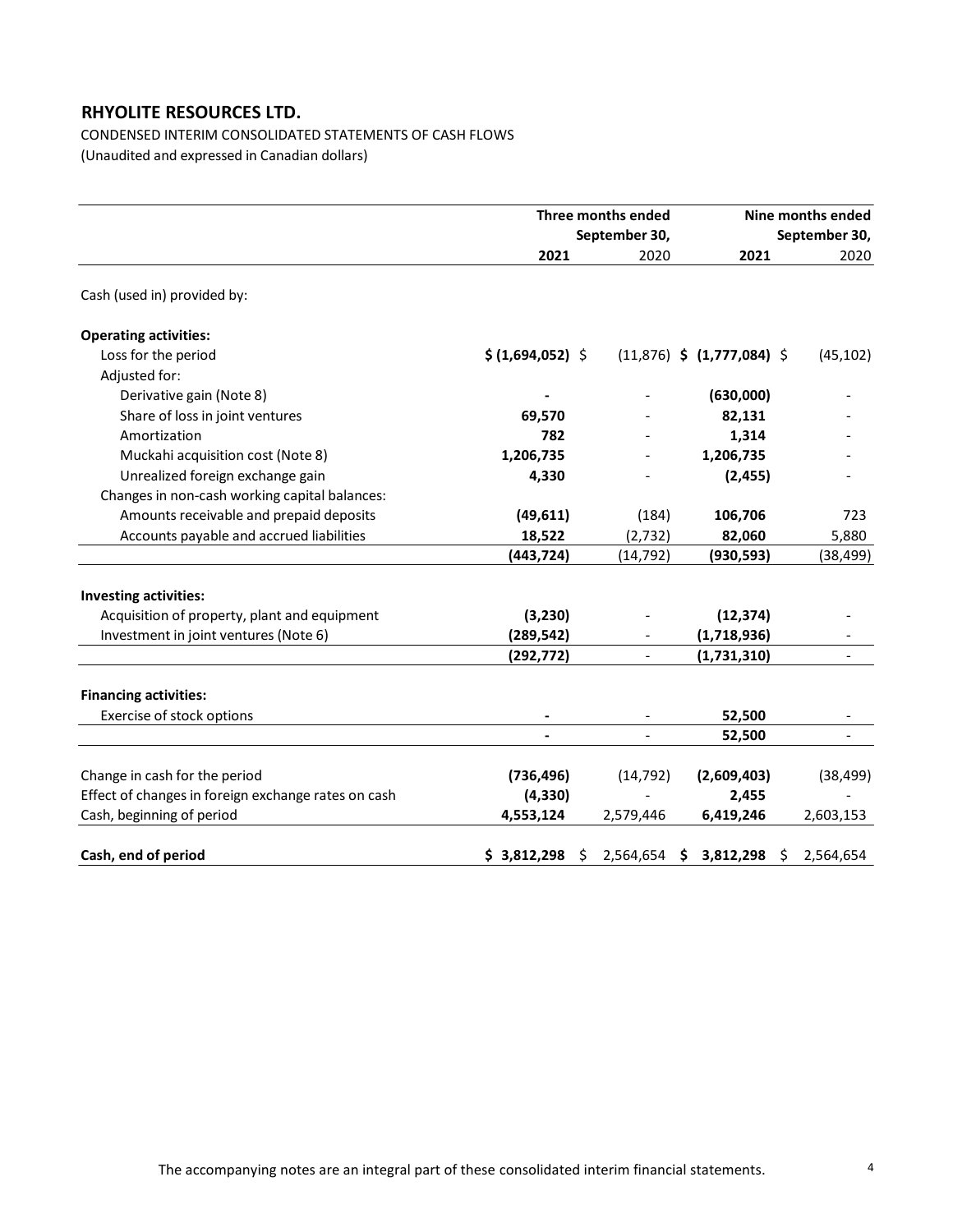CONDENSED INTERIM CONSOLIDATED STATEMENTS OF CASH FLOWS (Unaudited and expressed in Canadian dollars)

|                                                                                      |                        | Three months ended | Nine months ended              |               |  |  |
|--------------------------------------------------------------------------------------|------------------------|--------------------|--------------------------------|---------------|--|--|
|                                                                                      |                        | September 30,      |                                | September 30, |  |  |
|                                                                                      | 2021                   | 2020               | 2021                           | 2020          |  |  |
| Cash (used in) provided by:                                                          |                        |                    |                                |               |  |  |
| <b>Operating activities:</b>                                                         |                        |                    |                                |               |  |  |
| Loss for the period                                                                  | \$ (1,694,052) \$      |                    | $(11,876)$ \$ $(1,777,084)$ \$ | (45, 102)     |  |  |
| Adjusted for:                                                                        |                        |                    |                                |               |  |  |
| Derivative gain (Note 8)                                                             |                        |                    | (630,000)                      |               |  |  |
| Share of loss in joint ventures                                                      | 69,570                 |                    | 82,131                         |               |  |  |
| Amortization                                                                         | 782                    |                    | 1,314                          |               |  |  |
| Muckahi acquisition cost (Note 8)                                                    | 1,206,735              |                    | 1,206,735                      |               |  |  |
| Unrealized foreign exchange gain                                                     | 4,330                  |                    | (2, 455)                       |               |  |  |
| Changes in non-cash working capital balances:                                        |                        |                    |                                |               |  |  |
| Amounts receivable and prepaid deposits                                              | (49, 611)              | (184)              | 106,706                        | 723           |  |  |
| Accounts payable and accrued liabilities                                             | 18,522                 | (2,732)            | 82,060                         | 5,880         |  |  |
|                                                                                      | (443, 724)             | (14, 792)          | (930, 593)                     | (38, 499)     |  |  |
| <b>Investing activities:</b>                                                         |                        |                    |                                |               |  |  |
| Acquisition of property, plant and equipment                                         | (3, 230)               |                    | (12, 374)                      |               |  |  |
| Investment in joint ventures (Note 6)                                                | (289, 542)             |                    | (1,718,936)                    |               |  |  |
|                                                                                      | (292, 772)             |                    | (1,731,310)                    |               |  |  |
| <b>Financing activities:</b>                                                         |                        |                    |                                |               |  |  |
| Exercise of stock options                                                            |                        |                    | 52,500                         |               |  |  |
|                                                                                      |                        |                    | 52,500                         |               |  |  |
|                                                                                      |                        |                    |                                |               |  |  |
| Change in cash for the period<br>Effect of changes in foreign exchange rates on cash | (736, 496)<br>(4, 330) | (14, 792)          | (2,609,403)                    | (38, 499)     |  |  |
|                                                                                      |                        |                    | 2,455                          |               |  |  |
| Cash, beginning of period                                                            | 4,553,124              | 2,579,446          | 6,419,246                      | 2,603,153     |  |  |
| Cash, end of period                                                                  | \$3,812,298            | 2,564,654 \$       | 3,812,298 \$                   | 2,564,654     |  |  |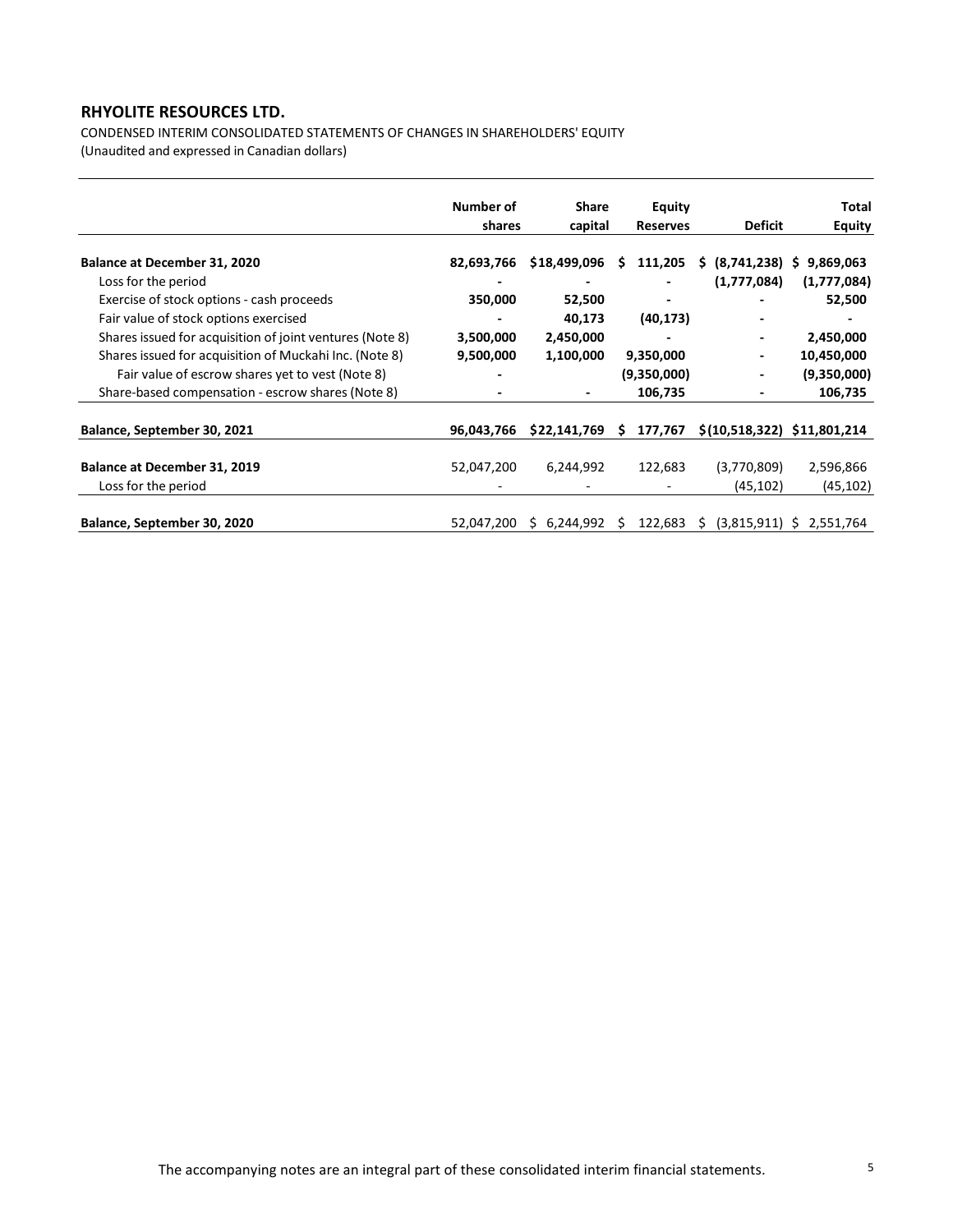CONDENSED INTERIM CONSOLIDATED STATEMENTS OF CHANGES IN SHAREHOLDERS' EQUITY

(Unaudited and expressed in Canadian dollars)

|                                                          | Number of  | <b>Share</b>    | Equity                   |                             | Total                      |
|----------------------------------------------------------|------------|-----------------|--------------------------|-----------------------------|----------------------------|
|                                                          | shares     | capital         | <b>Reserves</b>          | <b>Deficit</b>              | <b>Equity</b>              |
| Balance at December 31, 2020                             | 82,693,766 | \$18,499,096    | 111,205<br>S             | (8,741,238)<br>S.           | S                          |
| Loss for the period                                      |            |                 |                          | (1,777,084)                 | 9,869,063<br>(1,777,084)   |
|                                                          |            |                 |                          |                             |                            |
| Exercise of stock options - cash proceeds                | 350,000    | 52,500          | $\overline{\phantom{0}}$ |                             | 52,500                     |
| Fair value of stock options exercised                    |            | 40,173          | (40, 173)                |                             |                            |
| Shares issued for acquisition of joint ventures (Note 8) | 3,500,000  | 2,450,000       |                          |                             | 2,450,000                  |
| Shares issued for acquisition of Muckahi Inc. (Note 8)   | 9,500,000  | 1,100,000       | 9,350,000                |                             | 10,450,000                 |
| Fair value of escrow shares yet to vest (Note 8)         |            |                 | (9,350,000)              |                             | (9,350,000)                |
| Share-based compensation - escrow shares (Note 8)        |            |                 | 106,735                  |                             | 106,735                    |
| Balance, September 30, 2021                              | 96,043,766 | \$22,141,769    | 177,767<br>S.            | \$(10,518,322) \$11,801,214 |                            |
|                                                          |            |                 |                          |                             |                            |
| Balance at December 31, 2019                             | 52,047,200 | 6,244,992       | 122,683                  | (3,770,809)                 | 2,596,866                  |
| Loss for the period                                      |            |                 |                          | (45, 102)                   | (45, 102)                  |
|                                                          |            |                 |                          |                             |                            |
| Balance, September 30, 2020                              | 52,047,200 | 6,244,992<br>S. | 122,683<br>S             | S.                          | $(3,815,911)$ \$ 2,551,764 |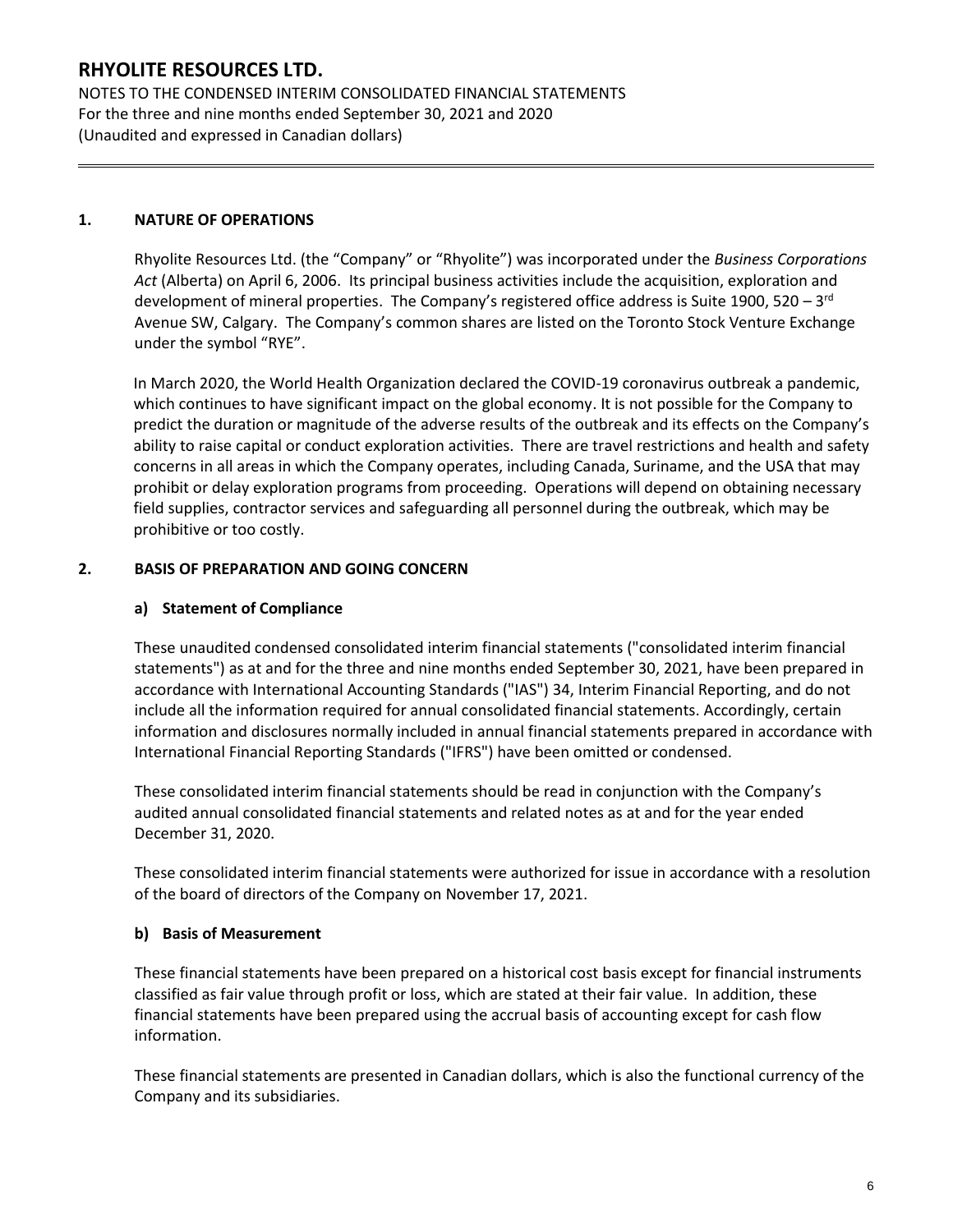NOTES TO THE CONDENSED INTERIM CONSOLIDATED FINANCIAL STATEMENTS For the three and nine months ended September 30, 2021 and 2020 (Unaudited and expressed in Canadian dollars)

### **1. NATURE OF OPERATIONS**

Rhyolite Resources Ltd. (the "Company" or "Rhyolite") was incorporated under the *Business Corporations Act* (Alberta) on April 6, 2006. Its principal business activities include the acquisition, exploration and development of mineral properties. The Company's registered office address is Suite 1900, 520 – 3<sup>rd</sup> Avenue SW, Calgary. The Company's common shares are listed on the Toronto Stock Venture Exchange under the symbol "RYE".

In March 2020, the World Health Organization declared the COVID-19 coronavirus outbreak a pandemic, which continues to have significant impact on the global economy. It is not possible for the Company to predict the duration or magnitude of the adverse results of the outbreak and its effects on the Company's ability to raise capital or conduct exploration activities. There are travel restrictions and health and safety concerns in all areas in which the Company operates, including Canada, Suriname, and the USA that may prohibit or delay exploration programs from proceeding. Operations will depend on obtaining necessary field supplies, contractor services and safeguarding all personnel during the outbreak, which may be prohibitive or too costly.

### **2. BASIS OF PREPARATION AND GOING CONCERN**

### **a) Statement of Compliance**

These unaudited condensed consolidated interim financial statements ("consolidated interim financial statements") as at and for the three and nine months ended September 30, 2021, have been prepared in accordance with International Accounting Standards ("IAS") 34, Interim Financial Reporting, and do not include all the information required for annual consolidated financial statements. Accordingly, certain information and disclosures normally included in annual financial statements prepared in accordance with International Financial Reporting Standards ("IFRS") have been omitted or condensed.

These consolidated interim financial statements should be read in conjunction with the Company's audited annual consolidated financial statements and related notes as at and for the year ended December 31, 2020.

These consolidated interim financial statements were authorized for issue in accordance with a resolution of the board of directors of the Company on November 17, 2021.

#### **b) Basis of Measurement**

These financial statements have been prepared on a historical cost basis except for financial instruments classified as fair value through profit or loss, which are stated at their fair value. In addition, these financial statements have been prepared using the accrual basis of accounting except for cash flow information.

These financial statements are presented in Canadian dollars, which is also the functional currency of the Company and its subsidiaries.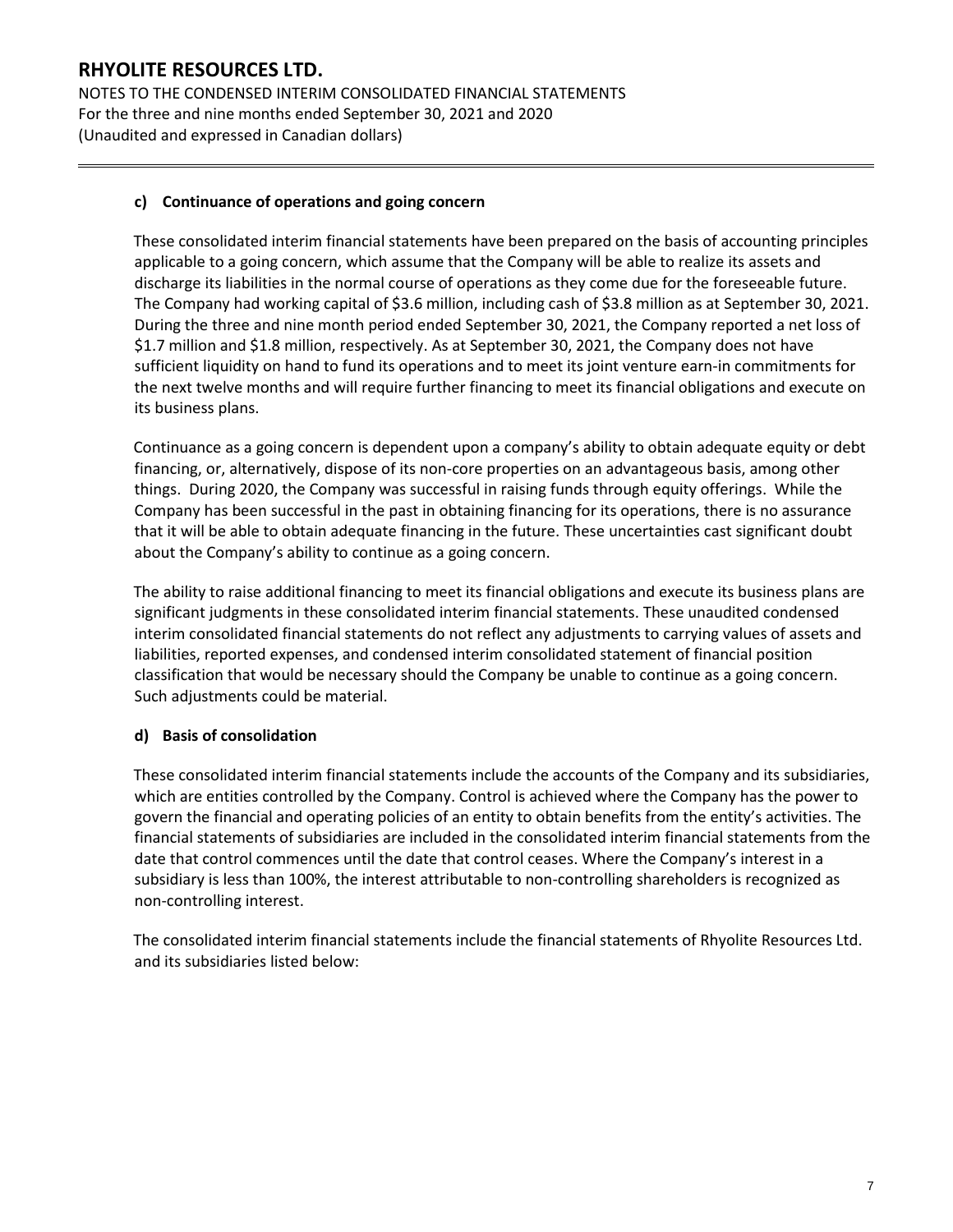NOTES TO THE CONDENSED INTERIM CONSOLIDATED FINANCIAL STATEMENTS For the three and nine months ended September 30, 2021 and 2020 (Unaudited and expressed in Canadian dollars)

### **c) Continuance of operations and going concern**

These consolidated interim financial statements have been prepared on the basis of accounting principles applicable to a going concern, which assume that the Company will be able to realize its assets and discharge its liabilities in the normal course of operations as they come due for the foreseeable future. The Company had working capital of \$3.6 million, including cash of \$3.8 million as at September 30, 2021. During the three and nine month period ended September 30, 2021, the Company reported a net loss of \$1.7 million and \$1.8 million, respectively. As at September 30, 2021, the Company does not have sufficient liquidity on hand to fund its operations and to meet its joint venture earn-in commitments for the next twelve months and will require further financing to meet its financial obligations and execute on its business plans.

Continuance as a going concern is dependent upon a company's ability to obtain adequate equity or debt financing, or, alternatively, dispose of its non-core properties on an advantageous basis, among other things. During 2020, the Company was successful in raising funds through equity offerings. While the Company has been successful in the past in obtaining financing for its operations, there is no assurance that it will be able to obtain adequate financing in the future. These uncertainties cast significant doubt about the Company's ability to continue as a going concern.

The ability to raise additional financing to meet its financial obligations and execute its business plans are significant judgments in these consolidated interim financial statements. These unaudited condensed interim consolidated financial statements do not reflect any adjustments to carrying values of assets and liabilities, reported expenses, and condensed interim consolidated statement of financial position classification that would be necessary should the Company be unable to continue as a going concern. Such adjustments could be material.

### **d) Basis of consolidation**

These consolidated interim financial statements include the accounts of the Company and its subsidiaries, which are entities controlled by the Company. Control is achieved where the Company has the power to govern the financial and operating policies of an entity to obtain benefits from the entity's activities. The financial statements of subsidiaries are included in the consolidated interim financial statements from the date that control commences until the date that control ceases. Where the Company's interest in a subsidiary is less than 100%, the interest attributable to non-controlling shareholders is recognized as non-controlling interest.

The consolidated interim financial statements include the financial statements of Rhyolite Resources Ltd. and its subsidiaries listed below: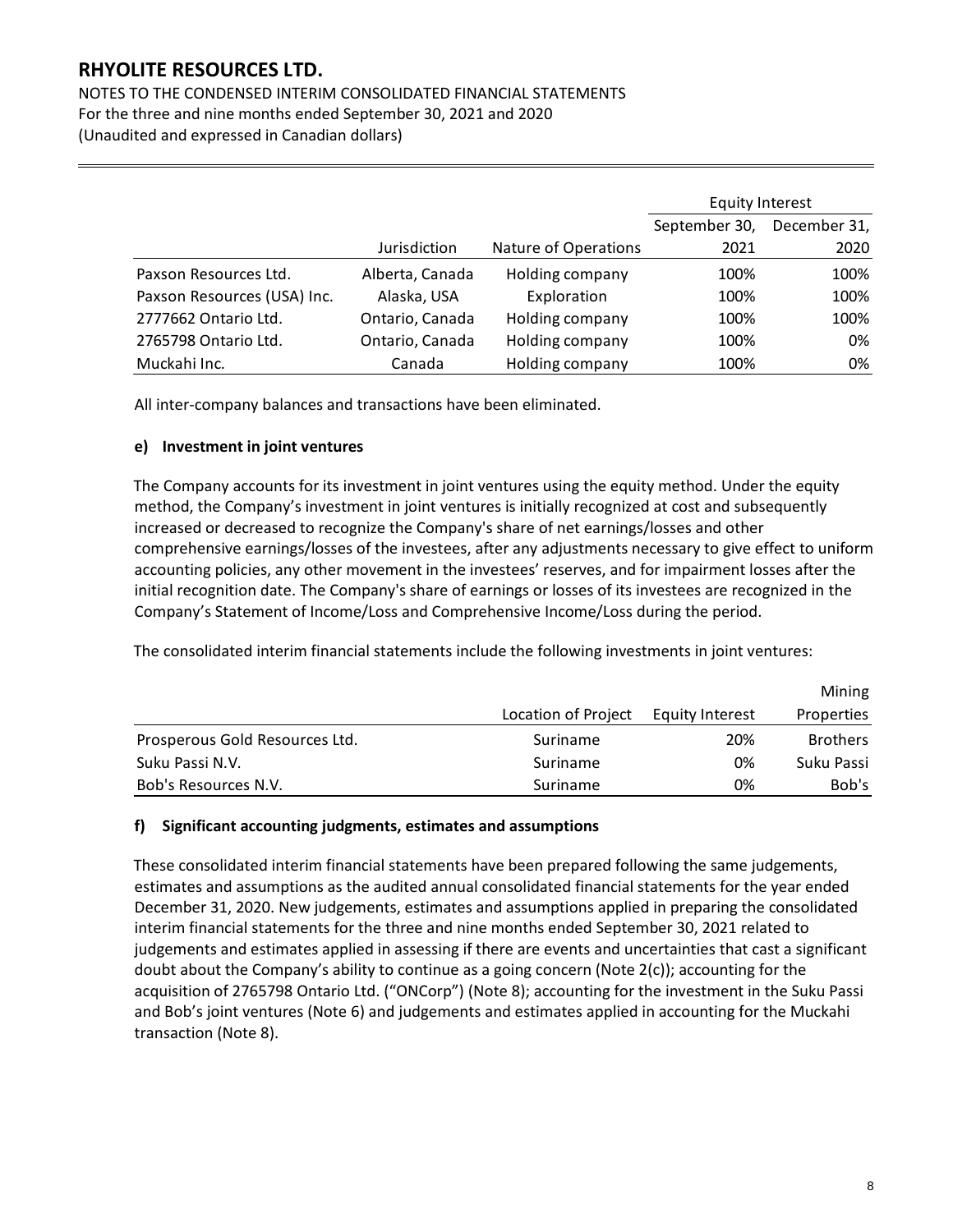NOTES TO THE CONDENSED INTERIM CONSOLIDATED FINANCIAL STATEMENTS For the three and nine months ended September 30, 2021 and 2020 (Unaudited and expressed in Canadian dollars)

|                             |                 |                      | Equity Interest |              |
|-----------------------------|-----------------|----------------------|-----------------|--------------|
|                             |                 |                      | September 30,   | December 31, |
|                             | Jurisdiction    | Nature of Operations | 2021            | 2020         |
| Paxson Resources Ltd.       | Alberta, Canada | Holding company      | 100%            | 100%         |
| Paxson Resources (USA) Inc. | Alaska, USA     | Exploration          | 100%            | 100%         |
| 2777662 Ontario Ltd.        | Ontario, Canada | Holding company      | 100%            | 100%         |
| 2765798 Ontario Ltd.        | Ontario, Canada | Holding company      | 100%            | 0%           |
| Muckahi Inc.                | Canada          | Holding company      | 100%            | 0%           |

All inter-company balances and transactions have been eliminated.

#### **e) Investment in joint ventures**

The Company accounts for its investment in joint ventures using the equity method. Under the equity method, the Company's investment in joint ventures is initially recognized at cost and subsequently increased or decreased to recognize the Company's share of net earnings/losses and other comprehensive earnings/losses of the investees, after any adjustments necessary to give effect to uniform accounting policies, any other movement in the investees' reserves, and for impairment losses after the initial recognition date. The Company's share of earnings or losses of its investees are recognized in the Company's Statement of Income/Loss and Comprehensive Income/Loss during the period.

The consolidated interim financial statements include the following investments in joint ventures:

|                                |                     |                 | Mining          |
|--------------------------------|---------------------|-----------------|-----------------|
|                                | Location of Project | Equity Interest | Properties      |
| Prosperous Gold Resources Ltd. | Suriname            | 20%             | <b>Brothers</b> |
| Suku Passi N.V.                | Suriname            | 0%              | Suku Passi      |
| Bob's Resources N.V.           | Suriname            | 0%              | Bob's           |

#### **f) Significant accounting judgments, estimates and assumptions**

These consolidated interim financial statements have been prepared following the same judgements, estimates and assumptions as the audited annual consolidated financial statements for the year ended December 31, 2020. New judgements, estimates and assumptions applied in preparing the consolidated interim financial statements for the three and nine months ended September 30, 2021 related to judgements and estimates applied in assessing if there are events and uncertainties that cast a significant doubt about the Company's ability to continue as a going concern (Note 2(c)); accounting for the acquisition of 2765798 Ontario Ltd. ("ONCorp") (Note 8); accounting for the investment in the Suku Passi and Bob's joint ventures (Note 6) and judgements and estimates applied in accounting for the Muckahi transaction (Note 8).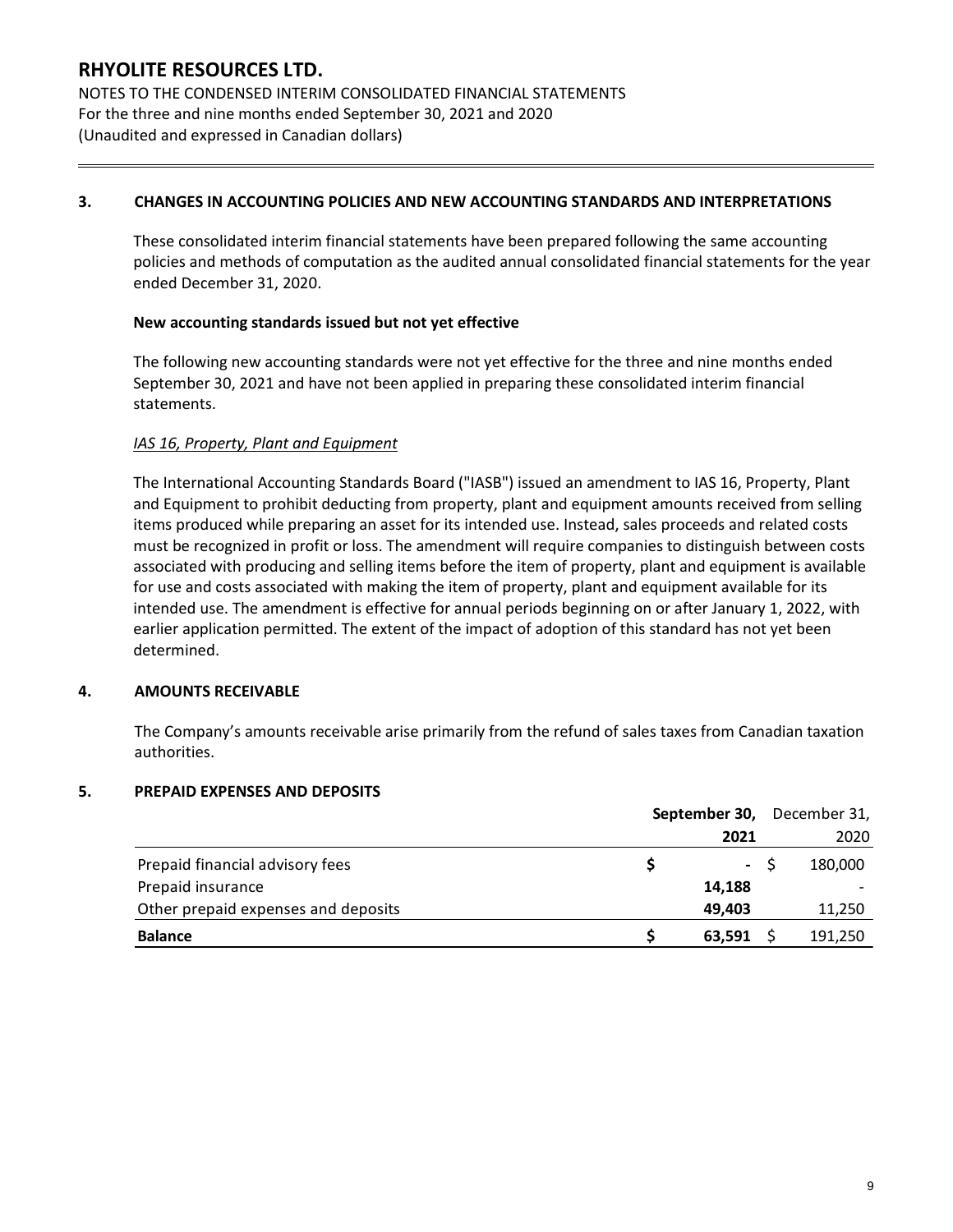NOTES TO THE CONDENSED INTERIM CONSOLIDATED FINANCIAL STATEMENTS For the three and nine months ended September 30, 2021 and 2020 (Unaudited and expressed in Canadian dollars)

#### **3. CHANGES IN ACCOUNTING POLICIES AND NEW ACCOUNTING STANDARDS AND INTERPRETATIONS**

These consolidated interim financial statements have been prepared following the same accounting policies and methods of computation as the audited annual consolidated financial statements for the year ended December 31, 2020.

#### **New accounting standards issued but not yet effective**

The following new accounting standards were not yet effective for the three and nine months ended September 30, 2021 and have not been applied in preparing these consolidated interim financial statements.

### *IAS 16, Property, Plant and Equipment*

The International Accounting Standards Board ("IASB") issued an amendment to IAS 16, Property, Plant and Equipment to prohibit deducting from property, plant and equipment amounts received from selling items produced while preparing an asset for its intended use. Instead, sales proceeds and related costs must be recognized in profit or loss. The amendment will require companies to distinguish between costs associated with producing and selling items before the item of property, plant and equipment is available for use and costs associated with making the item of property, plant and equipment available for its intended use. The amendment is effective for annual periods beginning on or after January 1, 2022, with earlier application permitted. The extent of the impact of adoption of this standard has not yet been determined.

#### **4. AMOUNTS RECEIVABLE**

The Company's amounts receivable arise primarily from the refund of sales taxes from Canadian taxation authorities.

#### **5. PREPAID EXPENSES AND DEPOSITS**

|                                     | September 30, December 31, |     |         |
|-------------------------------------|----------------------------|-----|---------|
|                                     | 2021                       |     | 2020    |
| Prepaid financial advisory fees     |                            | - S | 180,000 |
| Prepaid insurance                   | 14,188                     |     |         |
| Other prepaid expenses and deposits | 49,403                     |     | 11,250  |
| <b>Balance</b>                      | 63,591                     |     | 191,250 |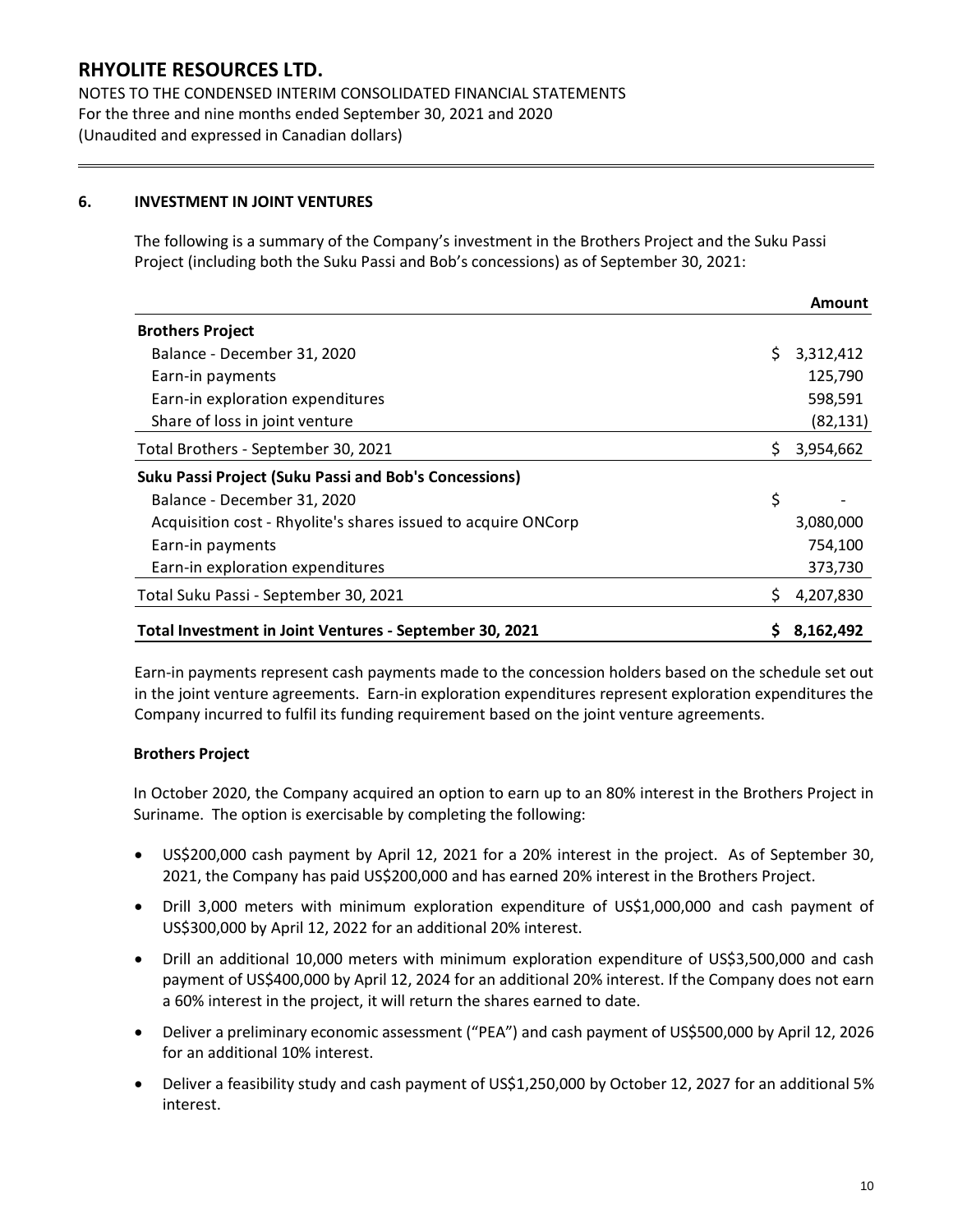NOTES TO THE CONDENSED INTERIM CONSOLIDATED FINANCIAL STATEMENTS For the three and nine months ended September 30, 2021 and 2020 (Unaudited and expressed in Canadian dollars)

### **6. INVESTMENT IN JOINT VENTURES**

The following is a summary of the Company's investment in the Brothers Project and the Suku Passi Project (including both the Suku Passi and Bob's concessions) as of September 30, 2021:

|                                                               |     | Amount    |
|---------------------------------------------------------------|-----|-----------|
| <b>Brothers Project</b>                                       |     |           |
| Balance - December 31, 2020                                   | \$. | 3,312,412 |
| Earn-in payments                                              |     | 125,790   |
| Earn-in exploration expenditures                              |     | 598,591   |
| Share of loss in joint venture                                |     | (82, 131) |
| Total Brothers - September 30, 2021                           |     | 3,954,662 |
| <b>Suku Passi Project (Suku Passi and Bob's Concessions)</b>  |     |           |
| Balance - December 31, 2020                                   | \$  |           |
| Acquisition cost - Rhyolite's shares issued to acquire ONCorp |     | 3,080,000 |
| Earn-in payments                                              |     | 754,100   |
| Earn-in exploration expenditures                              |     | 373,730   |
| Total Suku Passi - September 30, 2021                         |     | 4,207,830 |
| Total Investment in Joint Ventures - September 30, 2021       |     | 8,162,492 |

Earn-in payments represent cash payments made to the concession holders based on the schedule set out in the joint venture agreements. Earn-in exploration expenditures represent exploration expenditures the Company incurred to fulfil its funding requirement based on the joint venture agreements.

#### **Brothers Project**

In October 2020, the Company acquired an option to earn up to an 80% interest in the Brothers Project in Suriname. The option is exercisable by completing the following:

- US\$200,000 cash payment by April 12, 2021 for a 20% interest in the project. As of September 30, 2021, the Company has paid US\$200,000 and has earned 20% interest in the Brothers Project.
- Drill 3,000 meters with minimum exploration expenditure of US\$1,000,000 and cash payment of US\$300,000 by April 12, 2022 for an additional 20% interest.
- Drill an additional 10,000 meters with minimum exploration expenditure of US\$3,500,000 and cash payment of US\$400,000 by April 12, 2024 for an additional 20% interest. If the Company does not earn a 60% interest in the project, it will return the shares earned to date.
- Deliver a preliminary economic assessment ("PEA") and cash payment of US\$500,000 by April 12, 2026 for an additional 10% interest.
- Deliver a feasibility study and cash payment of US\$1,250,000 by October 12, 2027 for an additional 5% interest.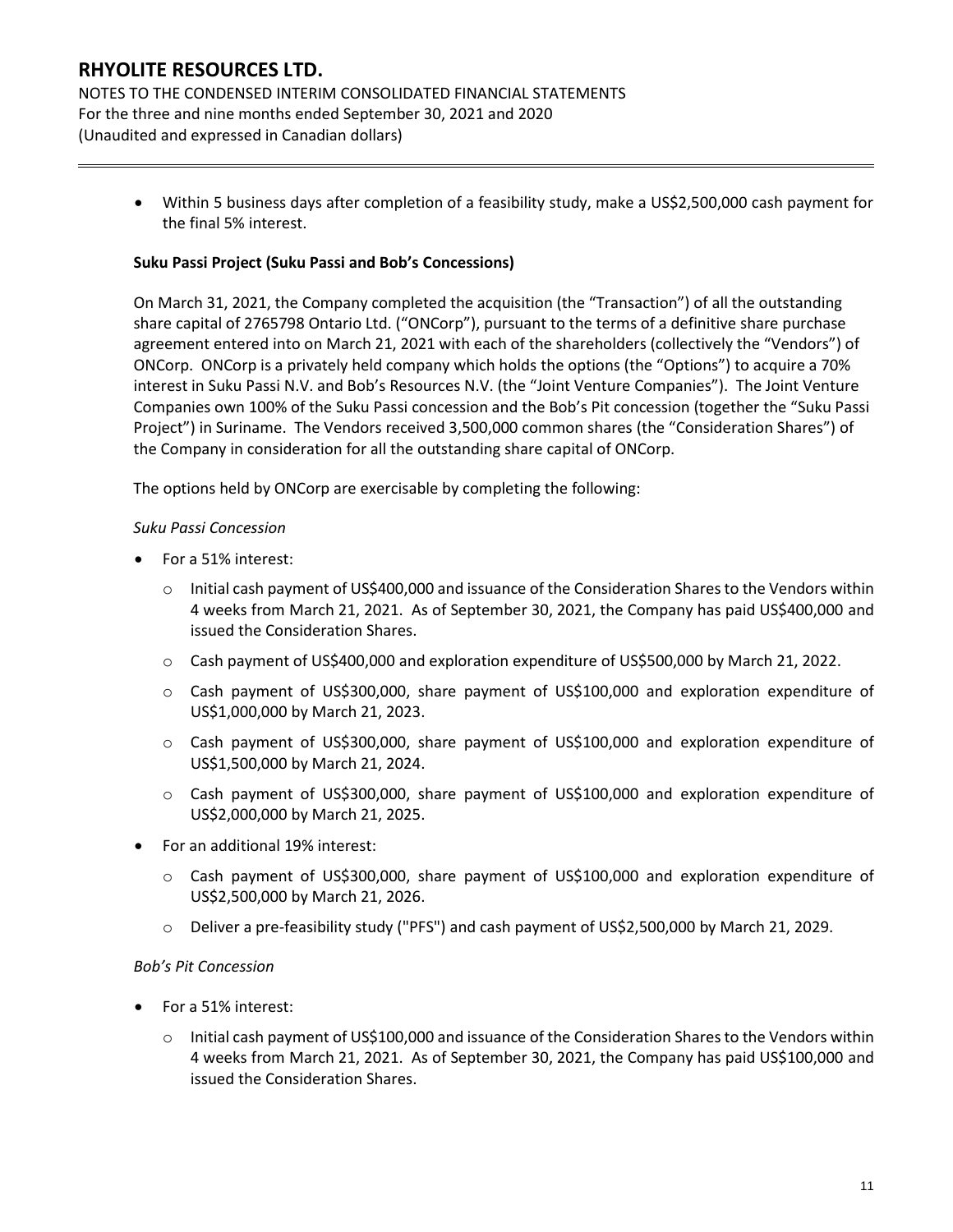NOTES TO THE CONDENSED INTERIM CONSOLIDATED FINANCIAL STATEMENTS For the three and nine months ended September 30, 2021 and 2020 (Unaudited and expressed in Canadian dollars)

> • Within 5 business days after completion of a feasibility study, make a US\$2,500,000 cash payment for the final 5% interest.

#### **Suku Passi Project (Suku Passi and Bob's Concessions)**

On March 31, 2021, the Company completed the acquisition (the "Transaction") of all the outstanding share capital of 2765798 Ontario Ltd. ("ONCorp"), pursuant to the terms of a definitive share purchase agreement entered into on March 21, 2021 with each of the shareholders (collectively the "Vendors") of ONCorp. ONCorp is a privately held company which holds the options (the "Options") to acquire a 70% interest in Suku Passi N.V. and Bob's Resources N.V. (the "Joint Venture Companies"). The Joint Venture Companies own 100% of the Suku Passi concession and the Bob's Pit concession (together the "Suku Passi Project") in Suriname. The Vendors received 3,500,000 common shares (the "Consideration Shares") of the Company in consideration for all the outstanding share capital of ONCorp.

The options held by ONCorp are exercisable by completing the following:

#### *Suku Passi Concession*

- For a 51% interest:
	- o Initial cash payment of US\$400,000 and issuance of the Consideration Shares to the Vendors within 4 weeks from March 21, 2021. As of September 30, 2021, the Company has paid US\$400,000 and issued the Consideration Shares.
	- o Cash payment of US\$400,000 and exploration expenditure of US\$500,000 by March 21, 2022.
	- o Cash payment of US\$300,000, share payment of US\$100,000 and exploration expenditure of US\$1,000,000 by March 21, 2023.
	- o Cash payment of US\$300,000, share payment of US\$100,000 and exploration expenditure of US\$1,500,000 by March 21, 2024.
	- o Cash payment of US\$300,000, share payment of US\$100,000 and exploration expenditure of US\$2,000,000 by March 21, 2025.
- For an additional 19% interest:
	- o Cash payment of US\$300,000, share payment of US\$100,000 and exploration expenditure of US\$2,500,000 by March 21, 2026.
	- o Deliver a pre-feasibility study ("PFS") and cash payment of US\$2,500,000 by March 21, 2029.

#### *Bob's Pit Concession*

- For a 51% interest:
	- $\circ$  Initial cash payment of US\$100,000 and issuance of the Consideration Shares to the Vendors within 4 weeks from March 21, 2021. As of September 30, 2021, the Company has paid US\$100,000 and issued the Consideration Shares.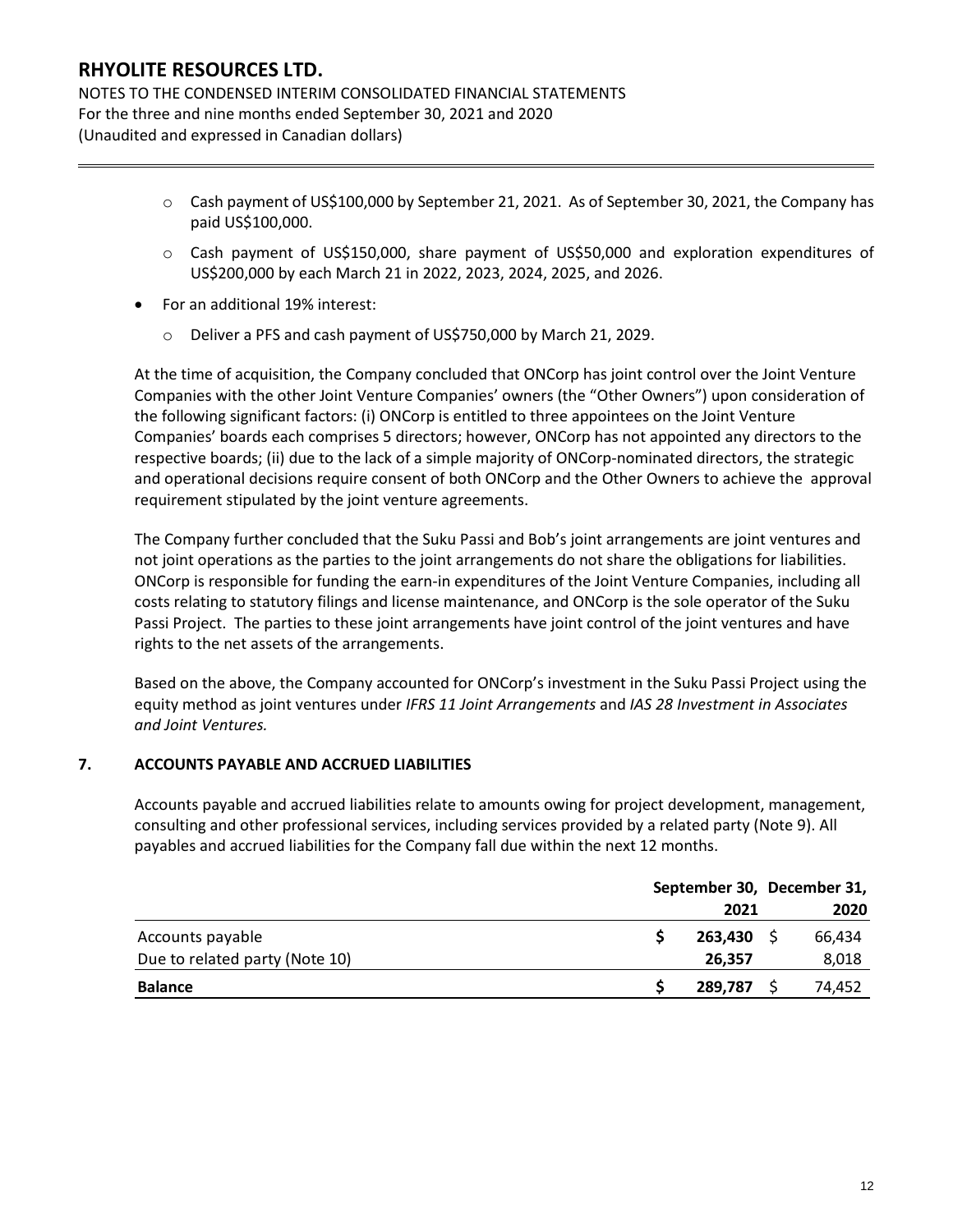NOTES TO THE CONDENSED INTERIM CONSOLIDATED FINANCIAL STATEMENTS For the three and nine months ended September 30, 2021 and 2020 (Unaudited and expressed in Canadian dollars)

- $\circ$  Cash payment of US\$100,000 by September 21, 2021. As of September 30, 2021, the Company has paid US\$100,000.
- o Cash payment of US\$150,000, share payment of US\$50,000 and exploration expenditures of US\$200,000 by each March 21 in 2022, 2023, 2024, 2025, and 2026.
- For an additional 19% interest:
	- o Deliver a PFS and cash payment of US\$750,000 by March 21, 2029.

At the time of acquisition, the Company concluded that ONCorp has joint control over the Joint Venture Companies with the other Joint Venture Companies' owners (the "Other Owners") upon consideration of the following significant factors: (i) ONCorp is entitled to three appointees on the Joint Venture Companies' boards each comprises 5 directors; however, ONCorp has not appointed any directors to the respective boards; (ii) due to the lack of a simple majority of ONCorp-nominated directors, the strategic and operational decisions require consent of both ONCorp and the Other Owners to achieve the approval requirement stipulated by the joint venture agreements.

The Company further concluded that the Suku Passi and Bob's joint arrangements are joint ventures and not joint operations as the parties to the joint arrangements do not share the obligations for liabilities. ONCorp is responsible for funding the earn-in expenditures of the Joint Venture Companies, including all costs relating to statutory filings and license maintenance, and ONCorp is the sole operator of the Suku Passi Project. The parties to these joint arrangements have joint control of the joint ventures and have rights to the net assets of the arrangements.

Based on the above, the Company accounted for ONCorp's investment in the Suku Passi Project using the equity method as joint ventures under *IFRS 11 Joint Arrangements* and *IAS 28 Investment in Associates and Joint Ventures.*

#### **7. ACCOUNTS PAYABLE AND ACCRUED LIABILITIES**

Accounts payable and accrued liabilities relate to amounts owing for project development, management, consulting and other professional services, including services provided by a related party (Note 9). All payables and accrued liabilities for the Company fall due within the next 12 months.

|                                | September 30, December 31, |         |  |        |
|--------------------------------|----------------------------|---------|--|--------|
|                                |                            | 2021    |  | 2020   |
| Accounts payable               |                            | 263,430 |  | 66,434 |
| Due to related party (Note 10) |                            | 26,357  |  | 8,018  |
| <b>Balance</b>                 |                            | 289,787 |  | 74,452 |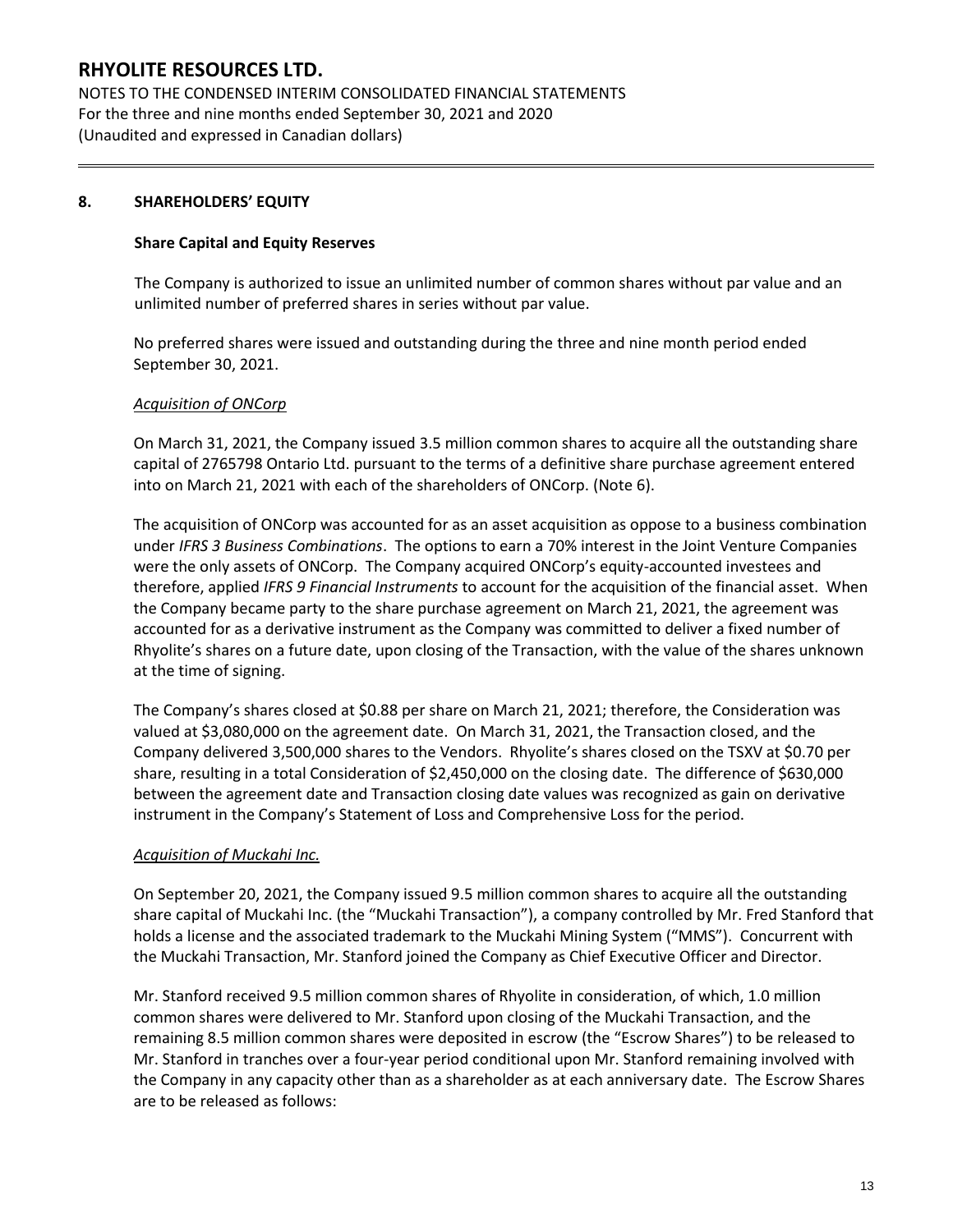NOTES TO THE CONDENSED INTERIM CONSOLIDATED FINANCIAL STATEMENTS For the three and nine months ended September 30, 2021 and 2020 (Unaudited and expressed in Canadian dollars)

### **8. SHAREHOLDERS' EQUITY**

#### **Share Capital and Equity Reserves**

The Company is authorized to issue an unlimited number of common shares without par value and an unlimited number of preferred shares in series without par value.

No preferred shares were issued and outstanding during the three and nine month period ended September 30, 2021.

#### *Acquisition of ONCorp*

On March 31, 2021, the Company issued 3.5 million common shares to acquire all the outstanding share capital of 2765798 Ontario Ltd. pursuant to the terms of a definitive share purchase agreement entered into on March 21, 2021 with each of the shareholders of ONCorp. (Note 6).

The acquisition of ONCorp was accounted for as an asset acquisition as oppose to a business combination under *IFRS 3 Business Combinations*. The options to earn a 70% interest in the Joint Venture Companies were the only assets of ONCorp. The Company acquired ONCorp's equity-accounted investees and therefore, applied *IFRS 9 Financial Instruments* to account for the acquisition of the financial asset. When the Company became party to the share purchase agreement on March 21, 2021, the agreement was accounted for as a derivative instrument as the Company was committed to deliver a fixed number of Rhyolite's shares on a future date, upon closing of the Transaction, with the value of the shares unknown at the time of signing.

The Company's shares closed at \$0.88 per share on March 21, 2021; therefore, the Consideration was valued at \$3,080,000 on the agreement date. On March 31, 2021, the Transaction closed, and the Company delivered 3,500,000 shares to the Vendors. Rhyolite's shares closed on the TSXV at \$0.70 per share, resulting in a total Consideration of \$2,450,000 on the closing date. The difference of \$630,000 between the agreement date and Transaction closing date values was recognized as gain on derivative instrument in the Company's Statement of Loss and Comprehensive Loss for the period.

#### *Acquisition of Muckahi Inc.*

On September 20, 2021, the Company issued 9.5 million common shares to acquire all the outstanding share capital of Muckahi Inc. (the "Muckahi Transaction"), a company controlled by Mr. Fred Stanford that holds a license and the associated trademark to the Muckahi Mining System ("MMS"). Concurrent with the Muckahi Transaction, Mr. Stanford joined the Company as Chief Executive Officer and Director.

Mr. Stanford received 9.5 million common shares of Rhyolite in consideration, of which, 1.0 million common shares were delivered to Mr. Stanford upon closing of the Muckahi Transaction, and the remaining 8.5 million common shares were deposited in escrow (the "Escrow Shares") to be released to Mr. Stanford in tranches over a four-year period conditional upon Mr. Stanford remaining involved with the Company in any capacity other than as a shareholder as at each anniversary date. The Escrow Shares are to be released as follows: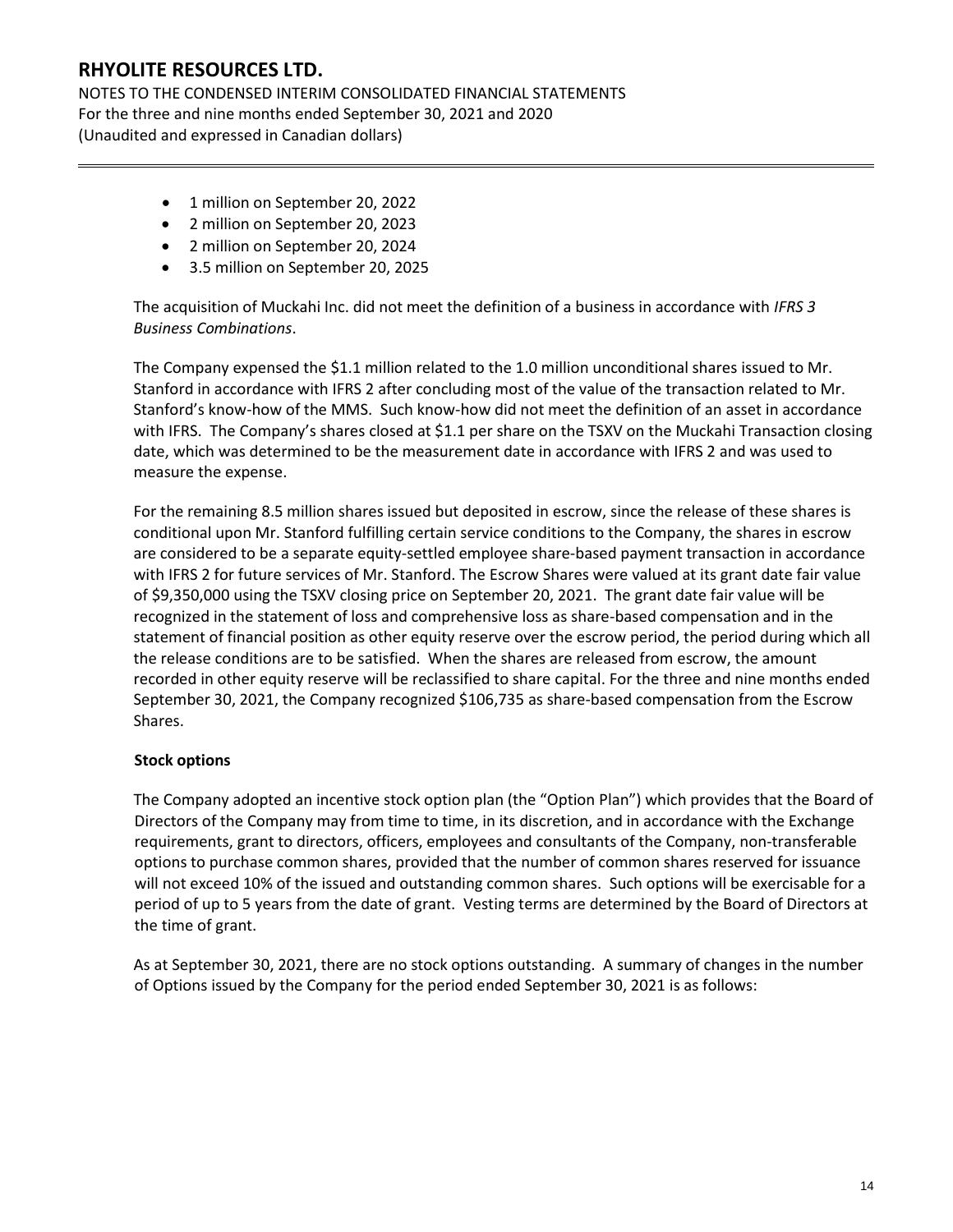NOTES TO THE CONDENSED INTERIM CONSOLIDATED FINANCIAL STATEMENTS For the three and nine months ended September 30, 2021 and 2020 (Unaudited and expressed in Canadian dollars)

- 1 million on September 20, 2022
- 2 million on September 20, 2023
- 2 million on September 20, 2024
- 3.5 million on September 20, 2025

The acquisition of Muckahi Inc. did not meet the definition of a business in accordance with *IFRS 3 Business Combinations*.

The Company expensed the \$1.1 million related to the 1.0 million unconditional shares issued to Mr. Stanford in accordance with IFRS 2 after concluding most of the value of the transaction related to Mr. Stanford's know-how of the MMS. Such know-how did not meet the definition of an asset in accordance with IFRS. The Company's shares closed at \$1.1 per share on the TSXV on the Muckahi Transaction closing date, which was determined to be the measurement date in accordance with IFRS 2 and was used to measure the expense.

For the remaining 8.5 million shares issued but deposited in escrow, since the release of these shares is conditional upon Mr. Stanford fulfilling certain service conditions to the Company, the shares in escrow are considered to be a separate equity-settled employee share-based payment transaction in accordance with IFRS 2 for future services of Mr. Stanford. The Escrow Shares were valued at its grant date fair value of \$9,350,000 using the TSXV closing price on September 20, 2021. The grant date fair value will be recognized in the statement of loss and comprehensive loss as share-based compensation and in the statement of financial position as other equity reserve over the escrow period, the period during which all the release conditions are to be satisfied. When the shares are released from escrow, the amount recorded in other equity reserve will be reclassified to share capital. For the three and nine months ended September 30, 2021, the Company recognized \$106,735 as share-based compensation from the Escrow Shares.

### **Stock options**

The Company adopted an incentive stock option plan (the "Option Plan") which provides that the Board of Directors of the Company may from time to time, in its discretion, and in accordance with the Exchange requirements, grant to directors, officers, employees and consultants of the Company, non-transferable options to purchase common shares, provided that the number of common shares reserved for issuance will not exceed 10% of the issued and outstanding common shares. Such options will be exercisable for a period of up to 5 years from the date of grant. Vesting terms are determined by the Board of Directors at the time of grant.

As at September 30, 2021, there are no stock options outstanding. A summary of changes in the number of Options issued by the Company for the period ended September 30, 2021 is as follows: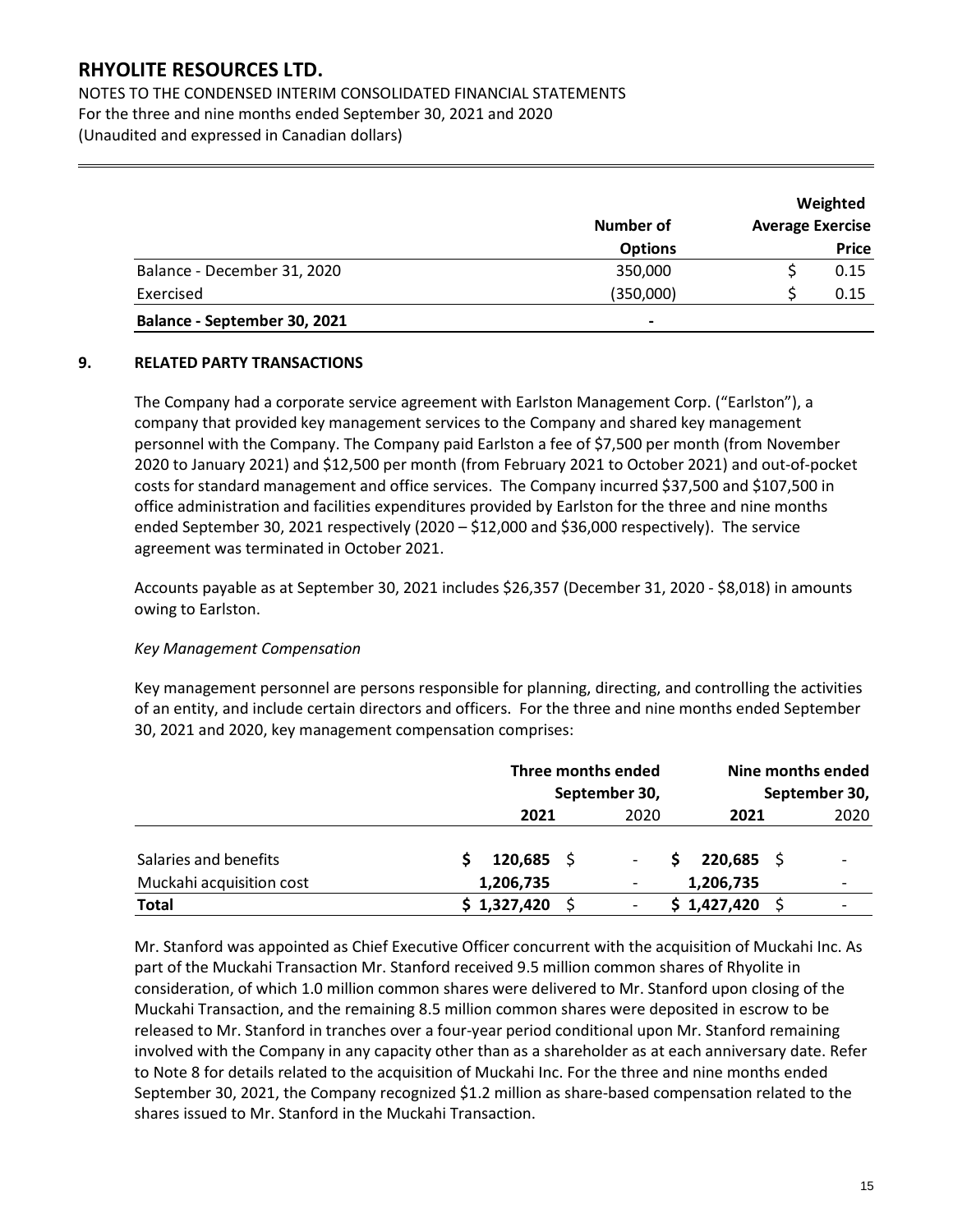NOTES TO THE CONDENSED INTERIM CONSOLIDATED FINANCIAL STATEMENTS For the three and nine months ended September 30, 2021 and 2020 (Unaudited and expressed in Canadian dollars)

|                              |                |                         | Weighted     |
|------------------------------|----------------|-------------------------|--------------|
|                              | Number of      | <b>Average Exercise</b> |              |
|                              | <b>Options</b> |                         | <b>Price</b> |
| Balance - December 31, 2020  | 350,000        |                         | 0.15         |
| Exercised                    | (350,000)      |                         | 0.15         |
| Balance - September 30, 2021 | $\blacksquare$ |                         |              |

#### **9. RELATED PARTY TRANSACTIONS**

The Company had a corporate service agreement with Earlston Management Corp. ("Earlston"), a company that provided key management services to the Company and shared key management personnel with the Company. The Company paid Earlston a fee of \$7,500 per month (from November 2020 to January 2021) and \$12,500 per month (from February 2021 to October 2021) and out-of-pocket costs for standard management and office services. The Company incurred \$37,500 and \$107,500 in office administration and facilities expenditures provided by Earlston for the three and nine months ended September 30, 2021 respectively (2020 – \$12,000 and \$36,000 respectively). The service agreement was terminated in October 2021.

Accounts payable as at September 30, 2021 includes \$26,357 (December 31, 2020 - \$8,018) in amounts owing to Earlston.

#### *Key Management Compensation*

Key management personnel are persons responsible for planning, directing, and controlling the activities of an entity, and include certain directors and officers. For the three and nine months ended September 30, 2021 and 2020, key management compensation comprises:

|                          | Three months ended<br>September 30, |              |  | Nine months ended<br>September 30, |    |              |  |      |
|--------------------------|-------------------------------------|--------------|--|------------------------------------|----|--------------|--|------|
|                          |                                     | 2021         |  | 2020                               |    | 2021         |  | 2020 |
| Salaries and benefits    |                                     | $120,685$ \$ |  |                                    | S. | $220,685$ \$ |  |      |
| Muckahi acquisition cost |                                     | 1,206,735    |  |                                    |    | 1,206,735    |  |      |
| <b>Total</b>             |                                     | \$1,327,420  |  |                                    |    | \$1,427,420  |  |      |

Mr. Stanford was appointed as Chief Executive Officer concurrent with the acquisition of Muckahi Inc. As part of the Muckahi Transaction Mr. Stanford received 9.5 million common shares of Rhyolite in consideration, of which 1.0 million common shares were delivered to Mr. Stanford upon closing of the Muckahi Transaction, and the remaining 8.5 million common shares were deposited in escrow to be released to Mr. Stanford in tranches over a four-year period conditional upon Mr. Stanford remaining involved with the Company in any capacity other than as a shareholder as at each anniversary date. Refer to Note 8 for details related to the acquisition of Muckahi Inc. For the three and nine months ended September 30, 2021, the Company recognized \$1.2 million as share-based compensation related to the shares issued to Mr. Stanford in the Muckahi Transaction.